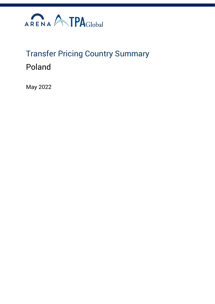

# Transfer Pricing Country Summary Poland

May 2022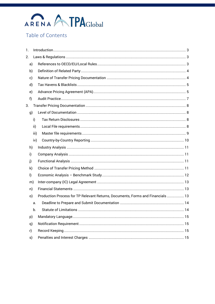# ARENA ATPAGLObal

# Table of Contents

| 1. |      |                                                                                |  |
|----|------|--------------------------------------------------------------------------------|--|
| 2. |      |                                                                                |  |
|    | a)   |                                                                                |  |
|    | b)   |                                                                                |  |
|    | c)   |                                                                                |  |
|    | d)   |                                                                                |  |
|    | e)   |                                                                                |  |
| f) |      |                                                                                |  |
| 3. |      |                                                                                |  |
|    | g)   |                                                                                |  |
|    | i)   |                                                                                |  |
|    | ii)  |                                                                                |  |
|    | iii) |                                                                                |  |
|    | iv)  |                                                                                |  |
|    | h)   |                                                                                |  |
| i) |      |                                                                                |  |
| j) |      |                                                                                |  |
|    | k)   |                                                                                |  |
| I) |      |                                                                                |  |
|    | m)   |                                                                                |  |
|    | n)   |                                                                                |  |
|    | o)   | Production Process for TP Relevant Returns, Documents, Forms and Financials 13 |  |
|    | a.   |                                                                                |  |
|    | b.   |                                                                                |  |
|    | p)   |                                                                                |  |
|    | q)   |                                                                                |  |
| r) |      |                                                                                |  |
|    | s)   |                                                                                |  |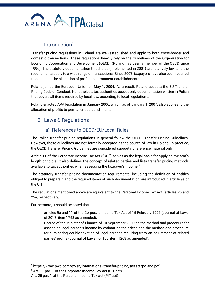

# 1. Introduction $<sup>1</sup>$ </sup>

<span id="page-2-0"></span>Transfer pricing regulations in Poland are well-established and apply to both cross-border and domestic transactions. These regulations heavily rely on the Guidelines of the Organization for Economic Cooperation and Development (OECD) (Poland has been a member of the OECD since 1996). The statutory documentation thresholds (implemented in 2001) are relatively low, and the requirements apply to a wide range of transactions. Since 2007, taxpayers have also been required to document the allocation of profits to permanent establishments.

Poland joined the European Union on May 1, 2004. As a result, Poland accepts the EU Transfer Pricing Code of Conduct. Nonetheless, tax authorities accept only documentation written in Polish that covers all items required by local law, according to local regulations.

Poland enacted APA legislation in January 2006, which, as of January 1, 2007, also applies to the allocation of profits to permanent establishments.

# <span id="page-2-1"></span>2. Laws & Regulations

## a) References to OECD/EU/Local Rules

<span id="page-2-2"></span>The Polish transfer pricing regulations in general follow the OECD Transfer Pricing Guidelines. However, these guidelines are not formally accepted as the source of law in Poland. In practice, the OECD Transfer Pricing Guidelines are considered supporting reference material only.

Article 11 of the Corporate Income Tax Act ("CIT") serves as the legal basis for applying the arm's length principle. It also defines the concept of related parties and lists transfer pricing methods available to tax authorities when assessing the taxpayer's income.<sup>2</sup>

The statutory transfer pricing documentation requirements, including the definition of entities obliged to prepare it and the required items of such documentation, are introduced in article 9a of the CIT.

The regulations mentioned above are equivalent to the Personal Income Tax Act (articles 25 and 25a, respectively).

Furthermore, it should be noted that:

- articles 9a and 11 of the Corporate Income Tax Act of 15 February 1992 (Journal of Laws of 2017, item 1753 as amended),
- Decree of the Minister of Finance of 10 September 2009 on the method and procedure for assessing legal person's income by estimating the prices and the method and procedure for eliminating double taxation of legal persons resulting from an adjustment of related parties' profits (Journal of Laws no. 160, item 1268 as amended),

<sup>1</sup> https://www.pwc.com/gx/en/international-transfer-pricing/assets/poland.pdf

 $2$  Art. 11 par. 1 of the Corporate Income Tax act (CIT act)

Art. 25 par. 1 of the Personal Income Tax act (PIT act)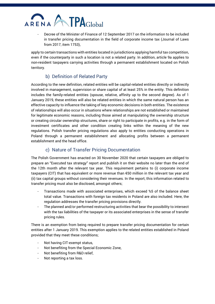# ATPAGlobal ARENA

- Decree of the Minister of Finance of 12 September 2017 on the information to be included in transfer pricing documentation in the field of corporate income tax (Journal of Laws from 2017, item 1753),

apply to certain transactions with entities located in jurisdictions applying harmful tax competition, even if the counterparty in such a location is not a related party. In addition, article 9a applies to non-resident taxpayers carrying activities through a permanent establishment located on Polish territory.

# b) Definition of Related Party

<span id="page-3-0"></span>According to the new definition, related entities will be capital-related entities directly or indirectly involved in management, supervision or share capital of at least 25% in the entity. This definition includes the family-related entities (spouse, relative, affinity up to the second degree). As of 1 January 2019, these entities will also be related entities in which the same natural person has an effective capacity to influence the taking of key economic decisions in both entities. The existence of relationships will also occur in situations where relationships are not established or maintained for legitimate economic reasons, including those aimed at manipulating the ownership structure or creating circular ownership structures, share or right to participate in profits, e.g. in the form of investment certificates and other condition creating links within the meaning of the new regulations. Polish transfer pricing regulations also apply to entities conducting operations in Poland through a permanent establishment and allocating profits between a permanent establishment and the head office.

## c) Nature of Transfer Pricing Documentation

<span id="page-3-1"></span>The Polish Government has enacted on 30 November 2020 that certain taxpayers are obliged to prepare an "Executed tax strategy" report and publish it on their website no later than the end of the 12th month after the relevant tax year. This requirement pertains to (i) corporate income taxpayers (CIT) that has equivalent or more revenue than €50 million in the relevant tax year and (ii) tax capital groups without considering their revenues. In the report, this information related to transfer pricing must also be disclosed, amongst others;

- Transactions made with associated enterprises, which exceed %5 of the balance sheet total value. Transactions with foreign tax residents in Poland are also included. Here, the regulation addresses the transfer pricing provisions directly.
- The planned and/or performed restructuring activities that bear the possibility to intersect with the tax liabilities of the taxpayer or its associated enterprises in the sense of transfer pricing rules.

There is an exemption from being required to prepare transfer pricing documentation for certain entities after 1 January 2019. This exemption applies to the related entities established in Poland provided that they meet these conditions;

- Not having CIT-exempt status,
- Not benefiting from the Special Economic Zone,
- Not benefiting from R&D relief,
- Not reporting a tax loss.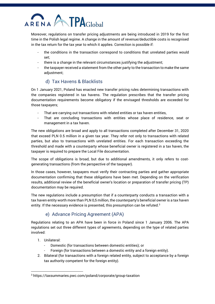# ARENA TPAGlobal

Moreover, regulations on transfer pricing adjustments are being introduced in 2019 for the first time in the Polish legal regime. A change in the amount of revenue/deductible costs is recognised in the tax return for the tax year to which it applies. Correction is possible if:

- the conditions in the transaction correspond to conditions that unrelated parties would set;
- there is a change in the relevant circumstances justifying the adjustment;
- the taxpayer received a statement from the other party to the transaction to make the same adjustment;

# d) Tax Havens & Blacklists

<span id="page-4-0"></span>On 1 January 2021, Poland has enacted new transfer pricing rules determining transactions with the companies registered in tax havens. The regulation prescribes that the transfer pricing documentation requirements become obligatory if the envisaged thresholds are exceeded for those taxpayers;

- That are carrying out transactions with related entities or tax haven entities,
- That are concluding transactions with entities whose place of residence, seat or management in a tax haven.

The new obligations are broad and apply to all transactions completed after December 31, 2020 that exceed PLN 0.5 million in a given tax year. They refer not only to transactions with related parties, but also to transactions with unrelated entities. For each transaction exceeding the threshold and made with a counterparty whose beneficial owner is registered in a tax haven, the taxpayer is required to prepare the Local File documentation.

The scope of obligations is broad, but due to additional amendments, it only refers to costgenerating transactions (from the perspective of the taxpayer).

In those cases, however, taxpayers must verify their contracting parties and gather appropriate documentation confirming that these obligations have been met. Depending on the verification results, additional review of the beneficial owner's location or preparation of transfer pricing (TP) documentation may be required.

The new regulations include a presumption that if a counterparty conducts a transaction with a tax haven entity worth more than PLN 0,5 million, the counterparty's beneficial owner is a tax haven entity. If the necessary evidence is presented, this presumption can be refuted.<sup>3</sup>

# e) Advance Pricing Agreement (APA)

<span id="page-4-1"></span>Regulations relating to an APA have been in force in Poland since 1 January 2006. The APA regulations set out three different types of agreements, depending on the type of related parties involved:

- 1. Unilateral:
	- Domestic (for transactions between domestic entities); or
	- Foreign (for transactions between a domestic entity and a foreign entity).
- 2. Bilateral (for transactions with a foreign related entity, subject to acceptance by a foreign tax authority competent for the foreign entity).

<sup>3</sup> https://taxsummaries.pwc.com/poland/corporate/group-taxation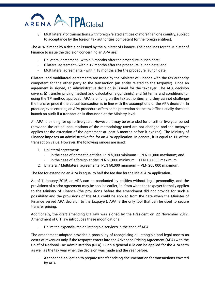# **TPA**Global ARFNA

3. Multilateral (for transactions with foreign related entities of more than one country, subject to acceptance by the foreign tax authorities competent for the foreign entities).

The APA is made by a decision issued by the Minister of Finance. The deadlines for the Minister of Finance to issue the decision concerning an APA are:

- Unilateral agreement within 6 months after the procedure launch date;
- Bilateral agreement within 12 months after the procedure launch date; and
- Multilateral agreements within 18 months after the procedure launch date.

Bilateral and multilateral agreements are made by the Minister of Finance with the tax authority competent for the other party to the transaction (an entity related to the taxpayer). Once an agreement is signed, an administrative decision is issued for the taxpayer. The APA decision covers: (i) transfer pricing method and calculation algorithm(s) and (ii) terms and conditions for using the TP method approved. APA is binding on the tax authorities, and they cannot challenge the transfer price if the actual transaction is in line with the assumptions of the APA decision. In practice, even entering an APA procedure offers some protection as the tax office usually does not launch an audit if a transaction is discussed at the Ministry level.

An APA is binding for up to five years. However, it may be extended for a further five-year period (provided the critical assumptions of the methodology used are not changed and the taxpayer applies for the extension of the agreement at least 6 months before it expires). The Ministry of Finance imposes an administrative fee for an APA application. In general, it is equal to 1% of the transaction value. However, the following ranges are used:

- 1. Unilateral agreement:
	- in the case of domestic entities: PLN 5,000 minimum  $-$  PLN 50,000 maximum; and
	- in the case of a foreign entity: PLN 20,000 minimum  $-$  PLN 100,000 maximum.
- 2. Bilateral / Multilateral agreements: PLN 50,000 minimum PLN 200,000 maximum.

The fee for extending an APA is equal to half the fee due for the initial APA application.

As of 1 January 2016, an APA can be conducted by entities without legal personality, and the provisions of a prior agreement may be applied earlier, i.e. from when the taxpayer formally applies to the Ministry of Finance (the provisions before the amendment did not provide for such a possibility and the provisions of the APA could be applied from the date when the Minister of Finance served APA decision to the taxpayer). APA is the only tool that can be used to secure transfer pricing.

Additionally, the draft amending CIT law was signed by the President on 22 November 2017. Amendment of CIT law introduces these modifications:

- Unlimited expenditures on intangible services in the case of APA

The amendment adopted provides a possibility of recognising all intangible and legal assets as costs of revenues only if the taxpayer enters into the Advanced Pricing Agreement (APA) with the Chief of National Tax Administration (NTA). Such a general rule can be applied for the APA term as well as the tax year when the decision was made and the year before.

- Abandoned obligation to prepare transfer pricing documentation for transactions covered by APA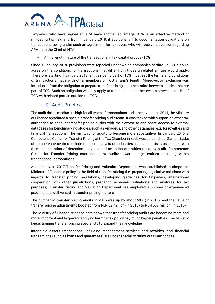# ARENA A TPAGlobal

Taxpayers who have signed an APA have another advantage. APA is an effective method of mitigating tax risk, and from 1 January 2018, it additionally lifts documentation obligations on transactions being under such an agreement for taxpayers who will receive a decision regarding APA from the Chief of NTA.

Arm's length nature of the transactions in tax capital groups (TCG)

Since 1 January 2018, provisions were repealed under which companies setting up TCGs could agree on the conditions for transactions that differ from those unrelated entities would apply. Therefore, starting 1 January 2018, entities being part of TCG must set the terms and conditions of transactions made with other members of TCG at arm's length. Moreover, an exclusion was introduced from the obligation to prepare transfer pricing documentation between entities that are part of TCG. Such an obligation will only apply to transactions or other events between entities of TCG with related parties outside the TCG.

# f) Audit Practice

<span id="page-6-0"></span>The audit risk is medium to high for all types of transactions and other events. In 2014, the Ministry of Finance appointed a special transfer pricing audit team. It was tasked with supporting other tax authorities to conduct transfer pricing audits with their expertise and share access to external databases for benchmarking studies, such as Amadeus, and other databases, e.g. for royalties and financial transactions. The aim was for audits to become more substantive. In January 2015, a Competence Center for Transfer Pricing at the Tax Chamber in Łódź was established. Sample tasks of competence centres include detailed analysis of industries, issues and risks associated with them, coordination of detection activities and selection of entities for a tax audit. Competence Center for Transfer Pricing coordinates tax audits towards large entities operating within transnational corporations.

Additionally, in 2017 Transfer Pricing and Valuation Department was established to shape the Minister of Finance's policy in the field of transfer pricing (i.e. preparing legislative solutions with regards to transfer pricing regulations, developing guidelines for taxpayers, international cooperation with other jurisdictions, preparing economic valuations and analyses for tax purposes). Transfer Pricing and Valuation Department has employed a number of experienced practitioners well-versed in transfer pricing matters.

The number of transfer pricing audits in 2016 was up by about 59% (in 2015), and the value of transfer pricing adjustments boosted from PLN 29 million (in 2015) to PLN 657 million (in 2016).

The Ministry of Finance-released data shows that transfer pricing audits are becoming more and more important and taxpayers applying harmful tax policy pay much bigger penalties. The Ministry keeps training transfer pricing specialists to expand their knowledge.

Intangible assets transactions, including management services and royalties, and financial transactions (such as loans and guarantees) are under special scrutiny of tax authorities.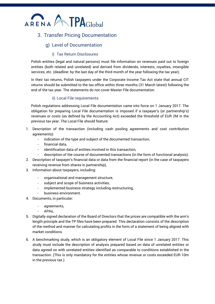

# <span id="page-7-1"></span><span id="page-7-0"></span>3. Transfer Pricing Documentation

### g) Level of Documentation

#### i) Tax Return Disclosures

<span id="page-7-2"></span>Polish entities (legal and natural persons) must file information on revenues paid out to foreign entities (both related and unrelated) and derived from dividends, interests, royalties, intangible services, etc. (deadline: by the last day of the third month of the year following the tax year);

In their tax returns, Polish taxpayers under the Corporate Income Tax Act state that annual CIT returns should be submitted to the tax office within three months (31 March latest) following the end of the tax year. The statements do not cover Master File documentation.

#### ii) Local File requirements

<span id="page-7-3"></span>Polish regulations addressing Local File documentation came into force on 1 January 2017. The obligation for preparing Local File documentation is imposed if a taxpayer's (or partnership's) revenues or costs (as defined by the Accounting Act) exceeded the threshold of EUR 2M in the previous tax year. The Local File should feature:

- 1. Description of the transaction (including cash pooling agreements and cost contribution agreements):
	- indication of the type and subject of the documented transaction,
	- financial data,
	- identification data of entities involved in this transaction,
	- description of the course of documented transactions (in the form of functional analysis).
- 2. Description of taxpayer's financial data or data from the financial report (in the case of taxpayers receiving revenue from shares in partnership),
- 3. Information about taxpayers, including:
	- organisational and management structure,
	- subject and scope of business activities,
	- implemented business strategy including restructuring,
	- business environment.
- 4. Documents, in particular:
	- agreements,
	- APA<sub>s</sub>,
- 5. Digitally signed declaration of the Board of Directors that the prices are compatible with the arm's length principle and the TP files have been prepared. This declaration consists of the description of the method and manner for calculating profits in the form of a statement of being aligned with market conditions.
- 6. A benchmarking study, which is an obligatory element of Local File since 1 January 2017. This study must include the description of analysis prepared based on data of unrelated entities or data agreed on with unrelated entities identified as comparable to conditions established in the transaction. (This is only mandatory for the entities whose revenue or costs exceeded EUR 10m in the previous tax.)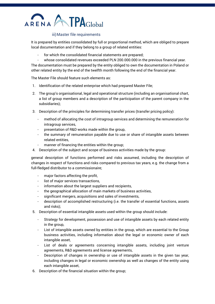# ATPAGlobal ARENA

#### iii) Master file requirements

<span id="page-8-0"></span>It is prepared by entities consolidated by full or proportional method, which are obliged to prepare local documentation and if they belong to a group of related entities:

- for which the consolidated financial statements are prepared;
- whose consolidated revenues exceeded PLN 200.000.000 in the previous financial year.

The documentation must be prepared by the entity obliged to own the documentation in Poland or other related entity by the end of the twelfth month following the end of the financial year.

The Master File should feature such elements as:

- 1. Identification of the related enterprise which had prepared Master File;
- 2. The group's organisational, legal and operational structure (including an organisational chart, a list of group members and a description of the participation of the parent company in the subsidiaries);
- 3. Description of the principles for determining transfer prices (transfer pricing policy):
	- method of allocating the cost of intragroup services and determining the remuneration for intragroup services,
	- presentation of R&D works made within the group,
	- the summary of remuneration payable due to use or share of intangible assets between related entities,
	- manner of financing the entities within the group;
- 4. Description of the subject and scope of business activities made by the group:

general description of functions performed and risks assumed, including the description of changes in respect of functions and risks compared to previous tax years, e.g. the change from a full-fledged distributor to a commissionaire;

- major factors affecting the profit,
- list of major services transactions,
- information about the largest suppliers and recipients,
- the geographical allocation of main markets of business activities,
- significant mergers, acquisitions and sales of investments,
- description of accomplished restructuring (i.e. the transfer of essential functions, assets and risks);
- 5. Description of essential intangible assets used within the group should include:
	- Strategy for development, possession and use of intangible assets by each related entity in the group,
	- List of intangible assets owned by entities in the group, which are essential to the Group business activities, including information about the legal or economic owner of each intangible asset,
	- List of deals or agreements concerning intangible assets, including joint venture agreements, R&D agreements and license agreements,
	- Description of changes in ownership or use of intangible assets in the given tax year, including changes in legal or economic ownership as well as changes of the entity using each intangible asset,
- 6. Description of the financial situation within the group;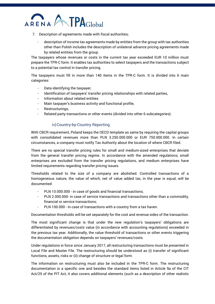

- 7. Description of agreements made with fiscal authorities;
	- description of income tax agreements made by entities from the group with tax authorities other than Polish includes the description of unilateral advance pricing agreements made by related entities from the group.

The taxpayers whose revenues or costs in the current tax year exceeded EUR 10 million must prepare the TPR-C form. It enables tax authorities to select taxpayers and the transactions subject to a potential tax control in transfer pricing.

The taxpayers must fill in more than 140 items in the TPR-C form. It is divided into 6 main categories:

- Data identifying the taxpayer,
- Identification of taxpayers' transfer pricing relationships with related parties,
- Information about related entities
- Main taxpayer's business activity and functional profile,
- Restructurings,
- Related party transactions or other events (divided into other 6 subcategories).

#### iv)Country-by-Country Reporting

<span id="page-9-0"></span>With CBCR requirement, Poland keeps the OECD template as same by requiring the capital groups with consolidated revenues more than PLN 3.250.000.000 or EUR 750.000.000. In certain circumstances, a company must notify Tax Authority about the location of where CBCR filed.

There are no special transfer pricing rules for small and medium-sized enterprises that deviate from the general transfer pricing regime. In accordance with the amended regulations, small enterprises are excluded from the transfer pricing regulations, and medium enterprises have limited requirements regarding transfer pricing issues.

Thresholds related to the size of a company are abolished. Controlled transactions of a homogeneous nature, the value of which, net of value added tax, in the year is equal, will be documented:

- PLN 10.000.000 in case of goods and financial transactions;
- PLN 2.000.000- in case of service transactions and transactions other than a commodity, financial or service transactions;
- PLN 100.000 in case of transactions with a country from a tax haven.

Documentation thresholds will be set separately for the cost and revenue sides of the transaction.

The most significant change is that under the new regulation's taxpayers' obligations are differentiated by revenues/costs value (in accordance with accounting regulations) exceeded in the previous tax year. Additionally, the value threshold of transactions or other events triggering the documentation obligation depends on taxpayers' revenues/costs.

Under regulations in force since January 2017, all restructuring transactions must be presented in Local File and Master File. The restructuring should be understood as (i) transfer of significant functions, assets, risks or (ii) change of structure or legal form.

The information on restructuring must also be included in the TPR-C form. The restructuring documentation is a specific one and besides the standard items listed in Article 9a of the CIT Act/25 of the PIT Act, it also covers additional elements (such as a description of other realistic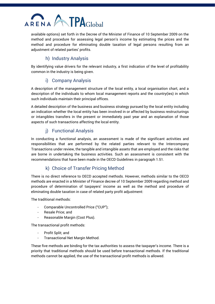

available options) set forth in the Decree of the Minister of Finance of 10 September 2009 on the method and procedure for assessing legal person's income by estimating the prices and the method and procedure for eliminating double taxation of legal persons resulting from an adiustment of related parties' profits.

# h) Industry Analysis

<span id="page-10-0"></span>By identifying value drivers for the relevant industry, a first indication of the level of profitability common in the industry is being given.

## i) Company Analysis

<span id="page-10-1"></span>A description of the management structure of the local entity, a local organisation chart, and a description of the individuals to whom local management reports and the country(ies) in which such individuals maintain their principal offices.

A detailed description of the business and business strategy pursued by the local entity including an indication whether the local entity has been involved in or affected by business restructurings or intangibles transfers in the present or immediately past year and an explanation of those aspects of such transactions affecting the local entity.

# j) Functional Analysis

<span id="page-10-2"></span>In conducting a functional analysis, an assessment is made of the significant activities and responsibilities that are performed by the related parties relevant to the Intercompany Transactions under review, the tangible and intangible assets that are employed and the risks that are borne in undertaking the business activities. Such an assessment is consistent with the recommendations that have been made in the OECD Guidelines in paragraph 1.51.

# k) Choice of Transfer Pricing Method

<span id="page-10-3"></span>There is no direct reference to OECD accepted methods. However, methods similar to the OECD methods are enacted in a Minister of Finance decree of 10 September 2009 regarding method and procedure of determination of taxpayers' income as well as the method and procedure of eliminating double taxation in case of related party profit adjustment:

The traditional methods:

- Comparable Uncontrolled Price ("CUP");
- Resale Price: and
- Reasonable Margin (Cost Plus).

The transactional profit methods:

- Profit Split; and
- Transactional Net Margin Method.

These five methods are binding for the tax authorities to assess the taxpayer's income. There is a priority that traditional methods should be used before transactional methods. If the traditional methods cannot be applied, the use of the transactional profit methods is allowed.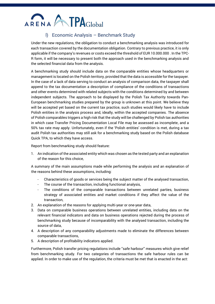# ARENA A TPAGlobal

# l) Economic Analysis – Benchmark Study

<span id="page-11-0"></span>Under the new regulations, the obligation to conduct a benchmarking analysis was introduced for each transaction covered by the documentation obligation. Contrary to previous practice, it is only applicable if the company's revenues or costs exceed the threshold of EUR 10.000.000 . In the TPC-R form, it will be necessary to present both the approach used in the benchmarking analysis and the selected financial data from the analysis.

A benchmarking study should include data on the comparable entities whose headquarters or management is located on the Polish territory, provided that the data is accessible for the taxpayer. In the case of a lack of data serving to conduct an analysis of comparison data, the taxpayer shall append to the tax documentation a description of compliance of the conditions of transactions and other events determined with related subjects with the conditions determined by and between independent subjects. The approach to be displayed by the Polish Tax Authority towards Pan-European benchmarking studies prepared by the group is unknown at this point. We believe they will be accepted yet based on the current tax practice, such studies would likely have to include Polish entities in the analysis process and, ideally, within the accepted companies. The absence of Polish comparables triggers a high risk that the study will be challenged by Polish tax authorities in which case Transfer Pricing Documentation Local File may be assessed as incomplete, and a 50% tax rate may apply. Unfortunately, even if the 'Polish entities' condition is met, during a tax audit Polish tax authorities may still ask for a benchmarking study based on the Polish database Quick TPA, to which they have access.

Report from benchmarking study should feature:

1. An indication of the associated entity which was chosen as the tested party and an explanation of the reason for this choice,

A summary of the main assumptions made while performing the analysis and an explanation of the reasons behind these assumptions, including:

- Characteristics of goods or services being the subject matter of the analysed transaction,
- The course of the transaction, including functional analysis,
- The conditions of the comparable transactions between unrelated parties, business strategy of associated entities and market conditions if they affect the value of the transaction,
- 2. An explanation of the reasons for applying multi-year or one-year data,
- 3. Data on comparable business operations between unrelated entities, including data on the relevant financial indicators and data on business operations rejected during the process of benchmarking study because of incomparability with the analysed transaction, including the source of data,
- 4. A description of any comparability adjustments made to eliminate the differences between comparable transactions,
- 5. A description of profitability indicators applied.

Furthermore, Polish transfer pricing regulations include ''safe harbour'' measures which give relief from benchmarking study. For two categories of transactions the safe harbour rules can be applied. In order to make use of the regulation, the criteria must be met that is enacted in the act: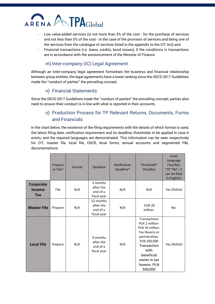

- Low value-added services (is not more than 5% of the cost for the purchase of services and not less than 5% of the cost - in the case of the provision of services and being one of the services from the catalogue of services listed in the appendix to the CIT Act) and
- Financial transactions (i.e. loans, credits, bond issues), if the conditions in transactions are in accordance with the announcement of the Minister of Finance.

### m) Inter-company (IC) Legal Agreement

<span id="page-12-0"></span>Although an Inter-company legal agreement formalises the business and financial relationship between group entities, the legal agreements have a lower ranking since the OECD 2017 Guidelines made the ''conduct of parties'' the prevailing concept.

#### n) Financial Statements

<span id="page-12-2"></span><span id="page-12-1"></span>Since the OECD 2017 Guidelines made the ''conduct of parties'' the prevailing concept, parties also need to ensure their conduct is in line with what is reported in their accounts.

# o) Production Process for TP Relevant Returns, Documents, Forms and Financials

In the chart below, the existence of the filing requirements with the details of which format is used, the latest filing date, notification requirement and its deadline, thresholds to be applied in case it exists, and the required languages are demonstrated. This information can be seen respectively for CIT, master file, local file, CbCR, local forms, annual accounts and segmented P&L documentations.

|                                   | Prepare<br>or File? | Format | Deadline                                          | <b>Notification</b><br>Deadline* | Threshold*<br>(Yes/No)                                                                                                                                                             | Local<br>Language<br>(Yes/No)<br>*(If "No", it<br>can be filed<br>in English) |
|-----------------------------------|---------------------|--------|---------------------------------------------------|----------------------------------|------------------------------------------------------------------------------------------------------------------------------------------------------------------------------------|-------------------------------------------------------------------------------|
| Corporate<br><b>Income</b><br>Tax | File                | N/A    | 3 months<br>after the<br>end of a<br>fiscal year  | N/A                              | N/A                                                                                                                                                                                | Yes (Polish)                                                                  |
| <b>Master File</b>                | Prepare             | N/A    | 12 months<br>after the<br>end of a<br>fiscal year | N/A                              | <b>EUR 20</b><br>million.                                                                                                                                                          | No                                                                            |
| <b>Local File</b>                 | Prepare             | N/A    | 9 months<br>after the<br>end of a<br>fiscal year  | N/A                              | Transactions:<br>PLN 2 million-<br>PLN 10 million.<br>Tax Havens or<br>partnerships:<br>PLN 100,000<br>Transaction<br>with<br>beneficial<br>owner in tax<br>havens: PLN<br>500,000 | Yes (Polish)                                                                  |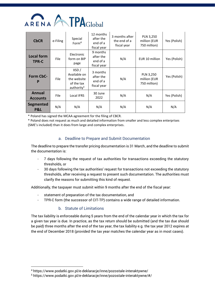

| <b>CbCR</b>                       | e-Filing    | Special<br>Form <sup>4</sup>                                                | 12 months<br>after the<br>end of a<br>fiscal year | 3 months after<br>the end of a<br>fiscal year | PLN 3,250<br>million (EUR<br>750 million) | Yes (Polish) |
|-----------------------------------|-------------|-----------------------------------------------------------------------------|---------------------------------------------------|-----------------------------------------------|-------------------------------------------|--------------|
| <b>Local form</b><br><b>TPR-C</b> | <b>File</b> | Electronic<br>form on BIP<br>page                                           | 9 months<br>after the<br>end of a<br>fiscal year  | N/A                                           | EUR 10 million                            | Yes (Polish) |
| Form CbC-<br>P                    | File        | XSD/<br>Available on<br>the website<br>of the tax<br>authority <sup>5</sup> | 3 months<br>after the<br>end of a<br>fiscal year  | N/A                                           | PLN 3,250<br>million (EUR<br>750 million) | Yes (Polish) |
| <b>Annual</b><br><b>Accounts</b>  | File        | Local IFRS                                                                  | 30 June<br>2022                                   | N/A                                           | N/A                                       | Yes (Polish) |
| <b>Segmented</b><br>P&L           | N/A         | N/A                                                                         | N/A                                               | N/A                                           | N/A                                       | N/A          |

\* Poland has signed the MCAA agreement for the filing of CBCR.

\* Poland does not request as much and detailed information from smaller and less complex enterprises (SME's included) than it does from large and complex enterprises.

#### a. Deadline to Prepare and Submit Documentation

<span id="page-13-0"></span>The deadline to prepare the transfer pricing documentation is 31 March, and the deadline to submit the documentation is:

- 7 days following the request of tax authorities for transactions exceeding the statutory thresholds, or
- 30 days following the tax authorities' request for transactions not exceeding the statutory thresholds, after receiving a request to present such documentation. The authorities must clarify the reasons for submitting this kind of request.

Additionally, the taxpayer must submit within 9 months after the end of the fiscal year:

- statement of preparation of the tax documentation, and
- TPR-C form (the successor of CIT-TP) contains a wide range of detailed information.

#### b. Statute of Limitations

<span id="page-13-1"></span>The tax liability is enforceable during 5 years from the end of the calendar year in which the tax for a given tax year is due. In practice, as the tax return should be submitted (and the tax due should be paid) three months after the end of the tax year, the tax liability e.g. the tax year 2012 expires at the end of December 2018 (provided the tax year matches the calendar year as in most cases).

<sup>4</sup> https://www.podatki.gov.pl/e-deklaracje/inne/pozostale-interaktywne/

<sup>5</sup> https://www.podatki.gov.pl/e-deklaracje/inne/pozostale-interaktywne/#/